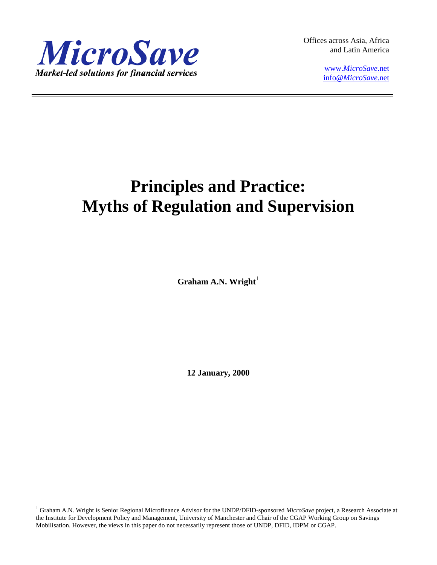

Offices across Asia, Africa and Latin America

> www.*[MicroSave](http://www.microsave.net/)*.net info@*[MicroSave](mailto:info@MicroSave.net)*.net

# **Principles and Practice: Myths of Regulation and Supervision**

**Graham A.N. Wright**<sup>[1](#page-0-0)</sup>

**12 January, 2000**

<span id="page-0-0"></span> <sup>1</sup> Graham A.N. Wright is Senior Regional Microfinance Advisor for the UNDP/DFID-sponsored *MicroSave* project, a Research Associate at the Institute for Development Policy and Management, University of Manchester and Chair of the CGAP Working Group on Savings Mobilisation. However, the views in this paper do not necessarily represent those of UNDP, DFID, IDPM or CGAP.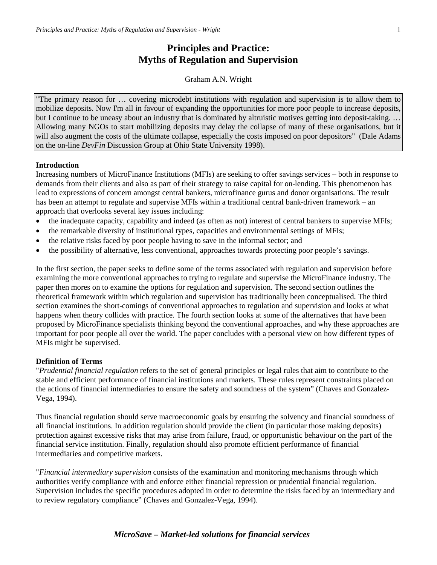#### Graham A.N. Wright

"The primary reason for … covering microdebt institutions with regulation and supervision is to allow them to mobilize deposits. Now I'm all in favour of expanding the opportunities for more poor people to increase deposits, but I continue to be uneasy about an industry that is dominated by altruistic motives getting into deposit-taking. ... Allowing many NGOs to start mobilizing deposits may delay the collapse of many of these organisations, but it will also augment the costs of the ultimate collapse, especially the costs imposed on poor depositors" (Dale Adams on the on-line *DevFin* Discussion Group at Ohio State University 1998).

#### **Introduction**

Increasing numbers of MicroFinance Institutions (MFIs) are seeking to offer savings services – both in response to demands from their clients and also as part of their strategy to raise capital for on-lending. This phenomenon has lead to expressions of concern amongst central bankers, microfinance gurus and donor organisations. The result has been an attempt to regulate and supervise MFIs within a traditional central bank-driven framework – an approach that overlooks several key issues including:

- the inadequate capacity, capability and indeed (as often as not) interest of central bankers to supervise MFIs;
- the remarkable diversity of institutional types, capacities and environmental settings of MFIs;
- the relative risks faced by poor people having to save in the informal sector; and
- the possibility of alternative, less conventional, approaches towards protecting poor people's savings.

In the first section, the paper seeks to define some of the terms associated with regulation and supervision before examining the more conventional approaches to trying to regulate and supervise the MicroFinance industry. The paper then mores on to examine the options for regulation and supervision. The second section outlines the theoretical framework within which regulation and supervision has traditionally been conceptualised. The third section examines the short-comings of conventional approaches to regulation and supervision and looks at what happens when theory collides with practice. The fourth section looks at some of the alternatives that have been proposed by MicroFinance specialists thinking beyond the conventional approaches, and why these approaches are important for poor people all over the world. The paper concludes with a personal view on how different types of MFIs might be supervised.

## **Definition of Terms**

"*Prudential financial regulation* refers to the set of general principles or legal rules that aim to contribute to the stable and efficient performance of financial institutions and markets. These rules represent constraints placed on the actions of financial intermediaries to ensure the safety and soundness of the system" (Chaves and Gonzalez-Vega, 1994).

Thus financial regulation should serve macroeconomic goals by ensuring the solvency and financial soundness of all financial institutions. In addition regulation should provide the client (in particular those making deposits) protection against excessive risks that may arise from failure, fraud, or opportunistic behaviour on the part of the financial service institution. Finally, regulation should also promote efficient performance of financial intermediaries and competitive markets.

"*Financial intermediary supervision* consists of the examination and monitoring mechanisms through which authorities verify compliance with and enforce either financial repression or prudential financial regulation. Supervision includes the specific procedures adopted in order to determine the risks faced by an intermediary and to review regulatory compliance" (Chaves and Gonzalez-Vega, 1994).

1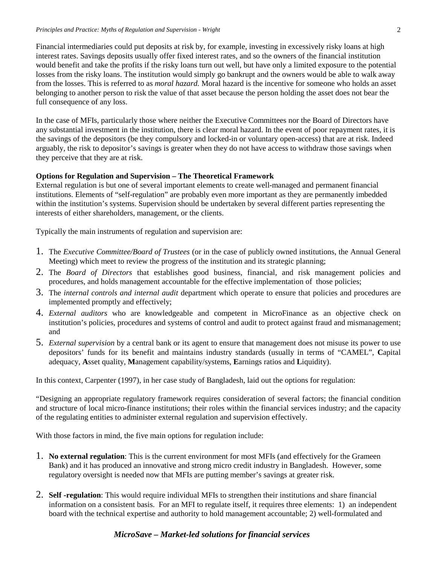Financial intermediaries could put deposits at risk by, for example, investing in excessively risky loans at high interest rates. Savings deposits usually offer fixed interest rates, and so the owners of the financial institution would benefit and take the profits if the risky loans turn out well, but have only a limited exposure to the potential losses from the risky loans. The institution would simply go bankrupt and the owners would be able to walk away from the losses. This is referred to as *moral hazard.* Moral hazard is the incentive for someone who holds an asset belonging to another person to risk the value of that asset because the person holding the asset does not bear the full consequence of any loss.

In the case of MFIs, particularly those where neither the Executive Committees nor the Board of Directors have any substantial investment in the institution, there is clear moral hazard. In the event of poor repayment rates, it is the savings of the depositors (be they compulsory and locked-in or voluntary open-access) that are at risk. Indeed arguably, the risk to depositor's savings is greater when they do not have access to withdraw those savings when they perceive that they are at risk.

#### **Options for Regulation and Supervision – The Theoretical Framework**

External regulation is but one of several important elements to create well-managed and permanent financial institutions. Elements of "self-regulation" are probably even more important as they are permanently imbedded within the institution's systems. Supervision should be undertaken by several different parties representing the interests of either shareholders, management, or the clients.

Typically the main instruments of regulation and supervision are:

- 1. The *Executive Committee/Board of Trustees* (or in the case of publicly owned institutions, the Annual General Meeting) which meet to review the progress of the institution and its strategic planning;
- 2. The *Board of Directors* that establishes good business, financial, and risk management policies and procedures, and holds management accountable for the effective implementation of those policies;
- 3. The *internal controls and internal audit* department which operate to ensure that policies and procedures are implemented promptly and effectively;
- 4. *External auditors* who are knowledgeable and competent in MicroFinance as an objective check on institution's policies, procedures and systems of control and audit to protect against fraud and mismanagement; and
- 5. *External supervision* by a central bank or its agent to ensure that management does not misuse its power to use depositors' funds for its benefit and maintains industry standards (usually in terms of "CAMEL", **C**apital adequacy, **A**sset quality, **M**anagement capability/systems, **E**arnings ratios and **L**iquidity).

In this context, Carpenter (1997), in her case study of Bangladesh, laid out the options for regulation:

"Designing an appropriate regulatory framework requires consideration of several factors; the financial condition and structure of local micro-finance institutions; their roles within the financial services industry; and the capacity of the regulating entities to administer external regulation and supervision effectively.

With those factors in mind, the five main options for regulation include:

- 1. **No external regulation**: This is the current environment for most MFIs (and effectively for the Grameen Bank) and it has produced an innovative and strong micro credit industry in Bangladesh. However, some regulatory oversight is needed now that MFIs are putting member's savings at greater risk.
- 2. **Self -regulation**: This would require individual MFIs to strengthen their institutions and share financial information on a consistent basis. For an MFI to regulate itself, it requires three elements: 1) an independent board with the technical expertise and authority to hold management accountable; 2) well-formulated and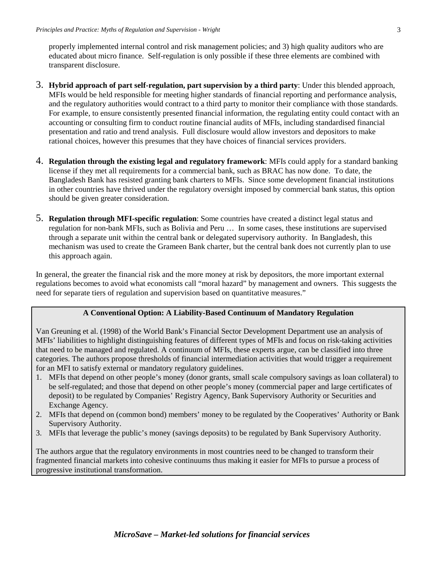properly implemented internal control and risk management policies; and 3) high quality auditors who are educated about micro finance. Self-regulation is only possible if these three elements are combined with transparent disclosure.

- 3. **Hybrid approach of part self-regulation, part supervision by a third party**: Under this blended approach, MFIs would be held responsible for meeting higher standards of financial reporting and performance analysis, and the regulatory authorities would contract to a third party to monitor their compliance with those standards. For example, to ensure consistently presented financial information, the regulating entity could contact with an accounting or consulting firm to conduct routine financial audits of MFIs, including standardised financial presentation and ratio and trend analysis. Full disclosure would allow investors and depositors to make rational choices, however this presumes that they have choices of financial services providers.
- 4. **Regulation through the existing legal and regulatory framework**: MFIs could apply for a standard banking license if they met all requirements for a commercial bank, such as BRAC has now done. To date, the Bangladesh Bank has resisted granting bank charters to MFIs. Since some development financial institutions in other countries have thrived under the regulatory oversight imposed by commercial bank status, this option should be given greater consideration.
- 5. **Regulation through MFI-specific regulation**: Some countries have created a distinct legal status and regulation for non-bank MFIs, such as Bolivia and Peru … In some cases, these institutions are supervised through a separate unit within the central bank or delegated supervisory authority. In Bangladesh, this mechanism was used to create the Grameen Bank charter, but the central bank does not currently plan to use this approach again.

In general, the greater the financial risk and the more money at risk by depositors, the more important external regulations becomes to avoid what economists call "moral hazard" by management and owners. This suggests the need for separate tiers of regulation and supervision based on quantitative measures."

## **A Conventional Option: A Liability-Based Continuum of Mandatory Regulation**

Van Greuning et al. (1998) of the World Bank's Financial Sector Development Department use an analysis of MFIs' liabilities to highlight distinguishing features of different types of MFIs and focus on risk-taking activities that need to be managed and regulated. A continuum of MFIs, these experts argue, can be classified into three categories. The authors propose thresholds of financial intermediation activities that would trigger a requirement for an MFI to satisfy external or mandatory regulatory guidelines.

- 1. MFIs that depend on other people's money (donor grants, small scale compulsory savings as loan collateral) to be self-regulated; and those that depend on other people's money (commercial paper and large certificates of deposit) to be regulated by Companies' Registry Agency, Bank Supervisory Authority or Securities and Exchange Agency.
- 2. MFIs that depend on (common bond) members' money to be regulated by the Cooperatives' Authority or Bank Supervisory Authority.
- 3. MFIs that leverage the public's money (savings deposits) to be regulated by Bank Supervisory Authority.

The authors argue that the regulatory environments in most countries need to be changed to transform their fragmented financial markets into cohesive continuums thus making it easier for MFIs to pursue a process of progressive institutional transformation.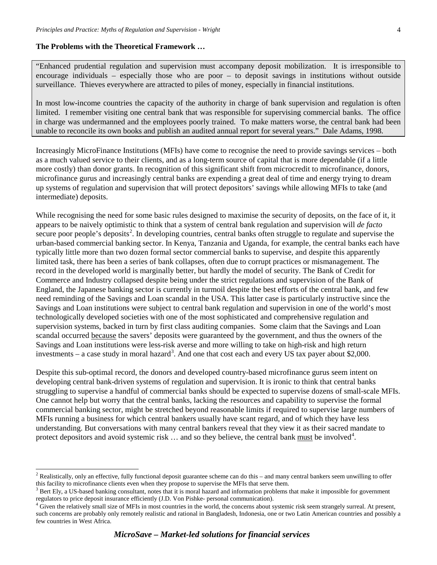#### **The Problems with the Theoretical Framework …**

"Enhanced prudential regulation and supervision must accompany deposit mobilization. It is irresponsible to encourage individuals – especially those who are poor – to deposit savings in institutions without outside surveillance. Thieves everywhere are attracted to piles of money, especially in financial institutions.

In most low-income countries the capacity of the authority in charge of bank supervision and regulation is often limited. I remember visiting one central bank that was responsible for supervising commercial banks. The office in charge was undermanned and the employees poorly trained. To make matters worse, the central bank had been unable to reconcile its own books and publish an audited annual report for several years." Dale Adams, 1998.

Increasingly MicroFinance Institutions (MFIs) have come to recognise the need to provide savings services – both as a much valued service to their clients, and as a long-term source of capital that is more dependable (if a little more costly) than donor grants. In recognition of this significant shift from microcredit to microfinance, donors, microfinance gurus and increasingly central banks are expending a great deal of time and energy trying to dream up systems of regulation and supervision that will protect depositors' savings while allowing MFIs to take (and intermediate) deposits.

While recognising the need for some basic rules designed to maximise the security of deposits, on the face of it, it appears to be naively optimistic to think that a system of central bank regulation and supervision will *de facto* secure poor people's deposits<sup>[2](#page-4-0)</sup>. In developing countries, central banks often struggle to regulate and supervise the urban-based commercial banking sector. In Kenya, Tanzania and Uganda, for example, the central banks each have typically little more than two dozen formal sector commercial banks to supervise, and despite this apparently limited task, there has been a series of bank collapses, often due to corrupt practices or mismanagement. The record in the developed world is marginally better, but hardly the model of security. The Bank of Credit for Commerce and Industry collapsed despite being under the strict regulations and supervision of the Bank of England, the Japanese banking sector is currently in turmoil despite the best efforts of the central bank, and few need reminding of the Savings and Loan scandal in the USA. This latter case is particularly instructive since the Savings and Loan institutions were subject to central bank regulation and supervision in one of the world's most technologically developed societies with one of the most sophisticated and comprehensive regulation and supervision systems, backed in turn by first class auditing companies. Some claim that the Savings and Loan scandal occurred because the savers' deposits were guaranteed by the government, and thus the owners of the Savings and Loan institutions were less-risk averse and more willing to take on high-risk and high return investments – a case study in moral hazard<sup>[3](#page-4-1)</sup>. And one that cost each and every US tax payer about \$2,000.

Despite this sub-optimal record, the donors and developed country-based microfinance gurus seem intent on developing central bank-driven systems of regulation and supervision. It is ironic to think that central banks struggling to supervise a handful of commercial banks should be expected to supervise dozens of small-scale MFIs. One cannot help but worry that the central banks, lacking the resources and capability to supervise the formal commercial banking sector, might be stretched beyond reasonable limits if required to supervise large numbers of MFIs running a business for which central bankers usually have scant regard, and of which they have less understanding. But conversations with many central bankers reveal that they view it as their sacred mandate to protect depositors and avoid systemic risk  $\ldots$  and so they believe, the central bank must be involved<sup>[4](#page-4-2)</sup>.

<span id="page-4-0"></span><sup>&</sup>lt;sup>2</sup> Realistically, only an effective, fully functional deposit guarantee scheme can do this – and many central bankers seem unwilling to offer this facility to microfinance clients even when they propose to supervise the MFIs that serve them.

<span id="page-4-1"></span> $3$  Bert Ely, a US-based banking consultant, notes that it is moral hazard and information problems that make it impossible for government regulators to price deposit insurance efficiently (J.D. Von Pishke- personal commu

<span id="page-4-2"></span><sup>&</sup>lt;sup>4</sup> Given the relatively small size of MFIs in most countries in the world, the concerns about systemic risk seem strangely surreal. At present, such concerns are probably only remotely realistic and rational in Bangladesh, Indonesia, one or two Latin American countries and possibly a few countries in West Africa.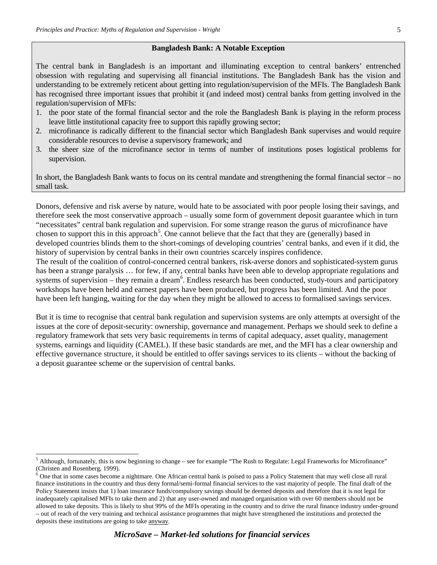#### **Bangladesh Bank: A Notable Exception**

The central bank in Bangladesh is an important and illuminating exception to central bankers' entrenched obsession with regulating and supervising all financial institutions. The Bangladesh Bank has the vision and understanding to be extremely reticent about getting into regulation/supervision of the MFIs. The Bangladesh Bank has recognised three important issues that prohibit it (and indeed most) central banks from getting involved in the regulation/supervision of MFIs:

- 1. the poor state of the formal financial sector and the role the Bangladesh Bank is playing in the reform process leave little institutional capacity free to support this rapidly growing sector;
- 2. microfinance is radically different to the financial sector which Bangladesh Bank supervises and would require considerable resources to devise a supervisory framework; and
- 3. the sheer size of the microfinance sector in terms of number of institutions poses logistical problems for supervision.

In short, the Bangladesh Bank wants to focus on its central mandate and strengthening the formal financial sector – no small task.

Donors, defensive and risk averse by nature, would hate to be associated with poor people losing their savings, and therefore seek the most conservative approach – usually some form of government deposit guarantee which in turn "necessitates" central bank regulation and supervision. For some strange reason the gurus of microfinance have chosen to support this in this approach<sup>[5](#page-5-0)</sup>. One cannot believe that the fact that they are (generally) based in developed countries blinds them to the short-comings of developing countries' central banks, and even if it did, the history of supervision by central banks in their own countries scarcely inspires confidence.

The result of the coalition of control-concerned central bankers, risk-averse donors and sophisticated-system gurus has been a strange paralysis ... for few, if any, central banks have been able to develop appropriate regulations and systems of supervision – they remain a dream<sup>[6](#page-5-1)</sup>. Endless research has been conducted, study-tours and participatory workshops have been held and earnest papers have been produced, but progress has been limited. And the poor have been left hanging, waiting for the day when they might be allowed to access to formalised savings services.

But it is time to recognise that central bank regulation and supervision systems are only attempts at oversight of the issues at the core of deposit-security: ownership, governance and management. Perhaps we should seek to define a regulatory framework that sets very basic requirements in terms of capital adequacy, asset quality, management systems, earnings and liquidity (CAMEL). If these basic standards are met, and the MFI has a clear ownership and effective governance structure, it should be entitled to offer savings services to its clients – without the backing of a deposit guarantee scheme or the supervision of central banks.

<span id="page-5-0"></span><sup>&</sup>lt;sup>5</sup> Although, fortunately, this is now beginning to change – see for example "The Rush to Regulate: Legal Frameworks for Microfinance" (Christen and Rosenberg, 1999).

<span id="page-5-1"></span><sup>6</sup> One that in some cases become a nightmare. One African central bank is poised to pass a Policy Statement that may well close all rural finance institutions in the country and thus deny formal/semi-formal financial services to the vast majority of people. The final draft of the Policy Statement insists that 1) loan insurance funds/compulsory savings should be deemed deposits and therefore that it is not legal for inadequately capitalised MFIs to take them and 2) that any user-owned and managed organisation with over 60 members should not be allowed to take deposits. This is likely to shut 99% of the MFIs operating in the country and to drive the rural finance industry under-ground – out of reach of the very training and technical assistance programmes that might have strengthened the institutions and protected the deposits these institutions are going to take anyway.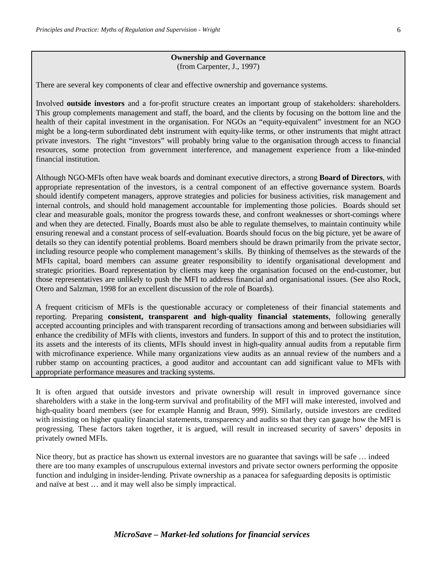## **Ownership and Governance** (from Carpenter, J., 1997)

There are several key components of clear and effective ownership and governance systems.

Involved **outside investors** and a for-profit structure creates an important group of stakeholders: shareholders. This group complements management and staff, the board, and the clients by focusing on the bottom line and the health of their capital investment in the organisation. For NGOs an "equity-equivalent" investment for an NGO might be a long-term subordinated debt instrument with equity-like terms, or other instruments that might attract private investors. The right "investors" will probably bring value to the organisation through access to financial resources, some protection from government interference, and management experience from a like-minded financial institution.

Although NGO-MFIs often have weak boards and dominant executive directors, a strong **Board of Directors**, with appropriate representation of the investors, is a central component of an effective governance system. Boards should identify competent managers, approve strategies and policies for business activities, risk management and internal controls, and should hold management accountable for implementing those policies. Boards should set clear and measurable goals, monitor the progress towards these, and confront weaknesses or short-comings where and when they are detected. Finally, Boards must also be able to regulate themselves, to maintain continuity while ensuring renewal and a constant process of self-evaluation. Boards should focus on the big picture, yet be aware of details so they can identify potential problems. Board members should be drawn primarily from the private sector, including resource people who complement management's skills. By thinking of themselves as the stewards of the MFIs capital, board members can assume greater responsibility to identify organisational development and strategic priorities. Board representation by clients may keep the organisation focused on the end-customer, but those representatives are unlikely to push the MFI to address financial and organisational issues. (See also Rock, Otero and Salzman, 1998 for an excellent discussion of the role of Boards).

A frequent criticism of MFIs is the questionable accuracy or completeness of their financial statements and reporting. Preparing **consistent, transparent and high-quality financial statements**, following generally accepted accounting principles and with transparent recording of transactions among and between subsidiaries will enhance the credibility of MFIs with clients, investors and funders. In support of this and to protect the institution, its assets and the interests of its clients, MFIs should invest in high-quality annual audits from a reputable firm with microfinance experience. While many organizations view audits as an annual review of the numbers and a rubber stamp on accounting practices, a good auditor and accountant can add significant value to MFIs with appropriate performance measures and tracking systems.

It is often argued that outside investors and private ownership will result in improved governance since shareholders with a stake in the long-term survival and profitability of the MFI will make interested, involved and high-quality board members (see for example Hannig and Braun, 999). Similarly, outside investors are credited with insisting on higher quality financial statements, transparency and audits so that they can gauge how the MFI is progressing. These factors taken together, it is argued, will result in increased security of savers' deposits in privately owned MFIs.

Nice theory, but as practice has shown us external investors are no guarantee that savings will be safe ... indeed there are too many examples of unscrupulous external investors and private sector owners performing the opposite function and indulging in insider-lending. Private ownership as a panacea for safeguarding deposits is optimistic and naïve at best … and it may well also be simply impractical.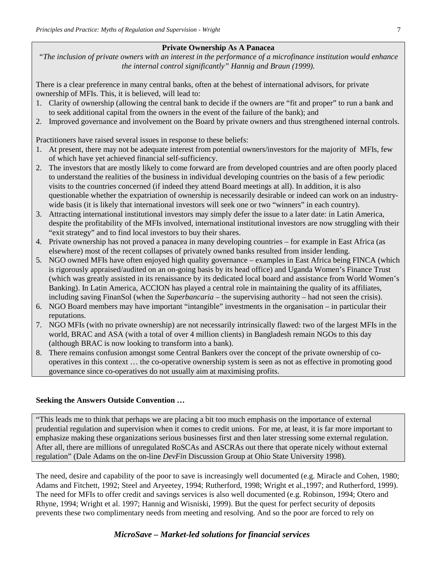# **Private Ownership As A Panacea**

*"The inclusion of private owners with an interest in the performance of a microfinance institution would enhance the internal control significantly" Hannig and Braun (1999).*

There is a clear preference in many central banks, often at the behest of international advisors, for private ownership of MFIs. This, it is believed, will lead to:

- 1. Clarity of ownership (allowing the central bank to decide if the owners are "fit and proper" to run a bank and to seek additional capital from the owners in the event of the failure of the bank); and
- 2. Improved governance and involvement on the Board by private owners and thus strengthened internal controls.

Practitioners have raised several issues in response to these beliefs:

- 1. At present, there may not be adequate interest from potential owners/investors for the majority of MFIs, few of which have yet achieved financial self-sufficiency.
- 2. The investors that are mostly likely to come forward are from developed countries and are often poorly placed to understand the realities of the business in individual developing countries on the basis of a few periodic visits to the countries concerned (if indeed they attend Board meetings at all). In addition, it is also questionable whether the expatriation of ownership is necessarily desirable or indeed can work on an industrywide basis (it is likely that international investors will seek one or two "winners" in each country).
- 3. Attracting international institutional investors may simply defer the issue to a later date: in Latin America, despite the profitability of the MFIs involved, international institutional investors are now struggling with their "exit strategy" and to find local investors to buy their shares.
- 4. Private ownership has not proved a panacea in many developing countries for example in East Africa (as elsewhere) most of the recent collapses of privately owned banks resulted from insider lending.
- 5. NGO owned MFIs have often enjoyed high quality governance examples in East Africa being FINCA (which is rigorously appraised/audited on an on-going basis by its head office) and Uganda Women's Finance Trust (which was greatly assisted in its renaissance by its dedicated local board and assistance from World Women's Banking). In Latin America, ACCION has played a central role in maintaining the quality of its affiliates, including saving FinanSol (when the *Superbancaria* – the supervising authority – had not seen the crisis).
- 6. NGO Board members may have important "intangible" investments in the organisation in particular their reputations.
- 7. NGO MFIs (with no private ownership) are not necessarily intrinsically flawed: two of the largest MFIs in the world, BRAC and ASA (with a total of over 4 million clients) in Bangladesh remain NGOs to this day (although BRAC is now looking to transform into a bank).
- 8. There remains confusion amongst some Central Bankers over the concept of the private ownership of cooperatives in this context … the co-operative ownership system is seen as not as effective in promoting good governance since co-operatives do not usually aim at maximising profits.

# **Seeking the Answers Outside Convention …**

"This leads me to think that perhaps we are placing a bit too much emphasis on the importance of external prudential regulation and supervision when it comes to credit unions. For me, at least, it is far more important to emphasize making these organizations serious businesses first and then later stressing some external regulation. After all, there are millions of unregulated RoSCAs and ASCRAs out there that operate nicely without external regulation" (Dale Adams on the on-line *DevFin* Discussion Group at Ohio State University 1998).

The need, desire and capability of the poor to save is increasingly well documented (e.g. Miracle and Cohen, 1980; Adams and Fitchett, 1992; Steel and Aryeetey, 1994; Rutherford, 1998; Wright et al.,1997; and Rutherford, 1999). The need for MFIs to offer credit and savings services is also well documented (e.g. Robinson, 1994; Otero and Rhyne, 1994; Wright et al. 1997; Hannig and Wisniski, 1999). But the quest for perfect security of deposits prevents these two complimentary needs from meeting and resolving. And so the poor are forced to rely on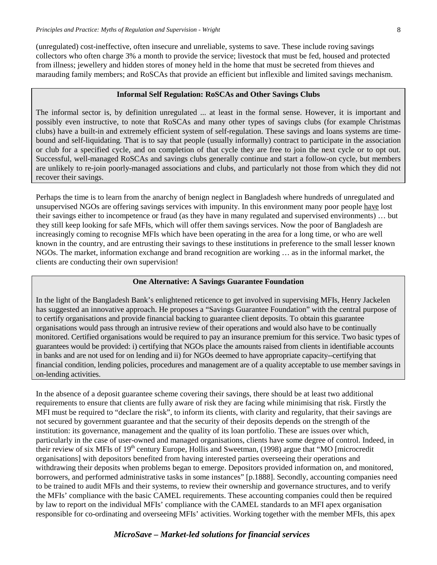(unregulated) cost-ineffective, often insecure and unreliable, systems to save. These include roving savings collectors who often charge 3% a month to provide the service; livestock that must be fed, housed and protected from illness; jewellery and hidden stores of money held in the home that must be secreted from thieves and marauding family members; and RoSCAs that provide an efficient but inflexible and limited savings mechanism.

#### **Informal Self Regulation: RoSCAs and Other Savings Clubs**

The informal sector is, by definition unregulated ... at least in the formal sense. However, it is important and possibly even instructive, to note that RoSCAs and many other types of savings clubs (for example Christmas clubs) have a built-in and extremely efficient system of self-regulation. These savings and loans systems are timebound and self-liquidating. That is to say that people (usually informally) contract to participate in the association or club for a specified cycle, and on completion of that cycle they are free to join the next cycle or to opt out. Successful, well-managed RoSCAs and savings clubs generally continue and start a follow-on cycle, but members are unlikely to re-join poorly-managed associations and clubs, and particularly not those from which they did not recover their savings.

Perhaps the time is to learn from the anarchy of benign neglect in Bangladesh where hundreds of unregulated and unsupervised NGOs are offering savings services with impunity. In this environment many poor people have lost their savings either to incompetence or fraud (as they have in many regulated and supervised environments) … but they still keep looking for safe MFIs, which will offer them savings services. Now the poor of Bangladesh are increasingly coming to recognise MFIs which have been operating in the area for a long time, or who are well known in the country, and are entrusting their savings to these institutions in preference to the small lesser known NGOs. The market, information exchange and brand recognition are working … as in the informal market, the clients are conducting their own supervision!

#### **One Alternative: A Savings Guarantee Foundation**

In the light of the Bangladesh Bank's enlightened reticence to get involved in supervising MFIs, Henry Jackelen has suggested an innovative approach. He proposes a "Savings Guarantee Foundation" with the central purpose of to certify organisations and provide financial backing to guarantee client deposits. To obtain this guarantee organisations would pass through an intrusive review of their operations and would also have to be continually monitored. Certified organisations would be required to pay an insurance premium for this service. Two basic types of guarantees would be provided: i) certifying that NGOs place the amounts raised from clients in identifiable accounts in banks and are not used for on lending and ii) for NGOs deemed to have appropriate capacity--certifying that financial condition, lending policies, procedures and management are of a quality acceptable to use member savings in on-lending activities.

In the absence of a deposit guarantee scheme covering their savings, there should be at least two additional requirements to ensure that clients are fully aware of risk they are facing while minimising that risk. Firstly the MFI must be required to "declare the risk", to inform its clients, with clarity and regularity, that their savings are not secured by government guarantee and that the security of their deposits depends on the strength of the institution: its governance, management and the quality of its loan portfolio. These are issues over which, particularly in the case of user-owned and managed organisations, clients have some degree of control. Indeed, in their review of six MFIs of 19<sup>th</sup> century Europe, Hollis and Sweetman, (1998) argue that "MO [microcredit organisations] with depositors benefited from having interested parties overseeing their operations and withdrawing their deposits when problems began to emerge. Depositors provided information on, and monitored, borrowers, and performed administrative tasks in some instances" [p.1888]. Secondly, accounting companies need to be trained to audit MFIs and their systems, to review their ownership and governance structures, and to verify the MFIs' compliance with the basic CAMEL requirements. These accounting companies could then be required by law to report on the individual MFIs' compliance with the CAMEL standards to an MFI apex organisation responsible for co-ordinating and overseeing MFIs' activities. Working together with the member MFIs, this apex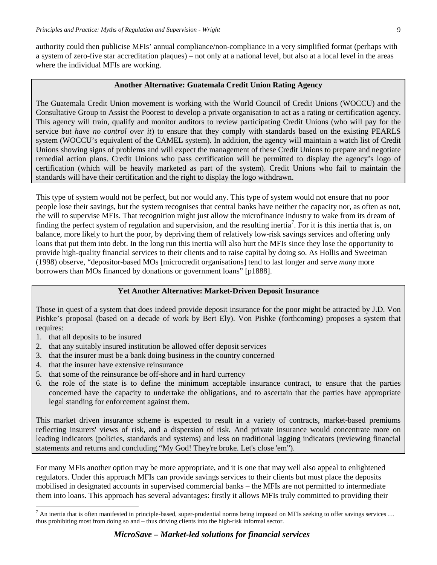authority could then publicise MFIs' annual compliance/non-compliance in a very simplified format (perhaps with a system of zero-five star accreditation plaques) – not only at a national level, but also at a local level in the areas where the individual MFIs are working.

#### **Another Alternative: Guatemala Credit Union Rating Agency**

The Guatemala Credit Union movement is working with the World Council of Credit Unions (WOCCU) and the Consultative Group to Assist the Poorest to develop a private organisation to act as a rating or certification agency. This agency will train, qualify and monitor auditors to review participating Credit Unions (who will pay for the service *but have no control over it*) to ensure that they comply with standards based on the existing PEARLS system (WOCCU's equivalent of the CAMEL system). In addition, the agency will maintain a watch list of Credit Unions showing signs of problems and will expect the management of these Credit Unions to prepare and negotiate remedial action plans. Credit Unions who pass certification will be permitted to display the agency's logo of certification (which will be heavily marketed as part of the system). Credit Unions who fail to maintain the standards will have their certification and the right to display the logo withdrawn.

This type of system would not be perfect, but nor would any. This type of system would not ensure that no poor people lose their savings, but the system recognises that central banks have neither the capacity nor, as often as not, the will to supervise MFIs. That recognition might just allow the microfinance industry to wake from its dream of finding the perfect system of regulation and supervision, and the resulting inertia<sup>[7](#page-9-0)</sup>. For it is this inertia that is, on balance, more likely to hurt the poor, by depriving them of relatively low-risk savings services and offering only loans that put them into debt. In the long run this inertia will also hurt the MFIs since they lose the opportunity to provide high-quality financial services to their clients and to raise capital by doing so. As Hollis and Sweetman (1998) observe, "depositor-based MOs [microcredit organisations] tend to last longer and serve *many* more borrowers than MOs financed by donations or government loans" [p1888].

## **Yet Another Alternative: Market-Driven Deposit Insurance**

Those in quest of a system that does indeed provide deposit insurance for the poor might be attracted by J.D. Von Pishke's proposal (based on a decade of work by Bert Ely). Von Pishke (forthcoming) proposes a system that requires:

- 1. that all deposits to be insured
- 2. that any suitably insured institution be allowed offer deposit services
- 3. that the insurer must be a bank doing business in the country concerned
- 4. that the insurer have extensive reinsurance
- 5. that some of the reinsurance be off-shore and in hard currency
- 6. the role of the state is to define the minimum acceptable insurance contract, to ensure that the parties concerned have the capacity to undertake the obligations, and to ascertain that the parties have appropriate legal standing for enforcement against them.

This market driven insurance scheme is expected to result in a variety of contracts, market-based premiums reflecting insurers' views of risk, and a dispersion of risk. And private insurance would concentrate more on leading indicators (policies, standards and systems) and less on traditional lagging indicators (reviewing financial statements and returns and concluding "My God! They're broke. Let's close 'em").

For many MFIs another option may be more appropriate, and it is one that may well also appeal to enlightened regulators. Under this approach MFIs can provide savings services to their clients but must place the deposits mobilised in designated accounts in supervised commercial banks – the MFIs are not permitted to intermediate them into loans. This approach has several advantages: firstly it allows MFIs truly committed to providing their

<span id="page-9-0"></span> $^7$  An inertia that is often manifested in principle-based, super-prudential norms being imposed on MFIs seeking to offer savings services ... thus prohibiting most from doing so and – thus driving clients into the high-risk informal sector.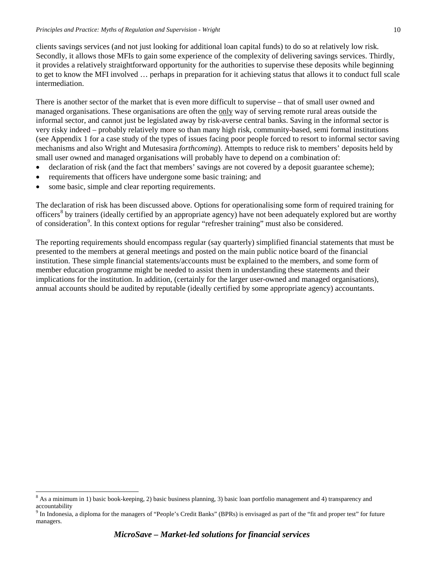clients savings services (and not just looking for additional loan capital funds) to do so at relatively low risk. Secondly, it allows those MFIs to gain some experience of the complexity of delivering savings services. Thirdly, it provides a relatively straightforward opportunity for the authorities to supervise these deposits while beginning to get to know the MFI involved … perhaps in preparation for it achieving status that allows it to conduct full scale intermediation.

There is another sector of the market that is even more difficult to supervise – that of small user owned and managed organisations. These organisations are often the only way of serving remote rural areas outside the informal sector, and cannot just be legislated away by risk-averse central banks. Saving in the informal sector is very risky indeed – probably relatively more so than many high risk, community-based, semi formal institutions (see Appendix 1 for a case study of the types of issues facing poor people forced to resort to informal sector saving mechanisms and also Wright and Mutesasira *forthcoming*). Attempts to reduce risk to members' deposits held by small user owned and managed organisations will probably have to depend on a combination of:

- declaration of risk (and the fact that members' savings are not covered by a deposit guarantee scheme);
- requirements that officers have undergone some basic training; and
- some basic, simple and clear reporting requirements.

The declaration of risk has been discussed above. Options for operationalising some form of required training for officers<sup>[8](#page-10-0)</sup> by trainers (ideally certified by an appropriate agency) have not been adequately explored but are worthy of consideration<sup>[9](#page-10-1)</sup>. In this context options for regular "refresher training" must also be considered.

The reporting requirements should encompass regular (say quarterly) simplified financial statements that must be presented to the members at general meetings and posted on the main public notice board of the financial institution. These simple financial statements/accounts must be explained to the members, and some form of member education programme might be needed to assist them in understanding these statements and their implications for the institution. In addition, (certainly for the larger user-owned and managed organisations), annual accounts should be audited by reputable (ideally certified by some appropriate agency) accountants.

<span id="page-10-0"></span><sup>&</sup>lt;sup>8</sup> As a minimum in 1) basic book-keeping, 2) basic business planning, 3) basic loan portfolio management and 4) transparency and accountability

<span id="page-10-1"></span><sup>9</sup> In Indonesia, a diploma for the managers of "People's Credit Banks" (BPRs) is envisaged as part of the "fit and proper test" for future managers.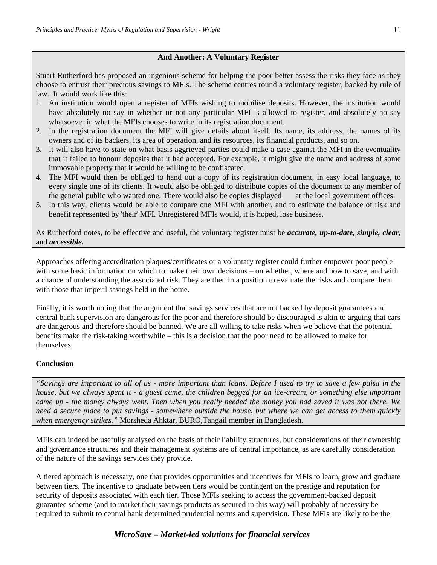## **And Another: A Voluntary Register**

Stuart Rutherford has proposed an ingenious scheme for helping the poor better assess the risks they face as they choose to entrust their precious savings to MFIs. The scheme centres round a voluntary register, backed by rule of law. It would work like this:

- 1. An institution would open a register of MFIs wishing to mobilise deposits. However, the institution would have absolutely no say in whether or not any particular MFI is allowed to register, and absolutely no say whatsoever in what the MFIs chooses to write in its registration document.
- 2. In the registration document the MFI will give details about itself. Its name, its address, the names of its owners and of its backers, its area of operation, and its resources, its financial products, and so on.
- 3. It will also have to state on what basis aggrieved parties could make a case against the MFI in the eventuality that it failed to honour deposits that it had accepted. For example, it might give the name and address of some immovable property that it would be willing to be confiscated.
- 4. The MFI would then be obliged to hand out a copy of its registration document, in easy local language, to every single one of its clients. It would also be obliged to distribute copies of the document to any member of the general public who wanted one. There would also be copies displayed at the local government offices.
- 5. In this way, clients would be able to compare one MFI with another, and to estimate the balance of risk and benefit represented by 'their' MFI. Unregistered MFIs would, it is hoped, lose business.

As Rutherford notes, to be effective and useful, the voluntary register must be *accurate, up-to-date, simple, clear,* and *accessible.*

Approaches offering accreditation plaques/certificates or a voluntary register could further empower poor people with some basic information on which to make their own decisions – on whether, where and how to save, and with a chance of understanding the associated risk. They are then in a position to evaluate the risks and compare them with those that imperil savings held in the home.

Finally, it is worth noting that the argument that savings services that are not backed by deposit guarantees and central bank supervision are dangerous for the poor and therefore should be discouraged is akin to arguing that cars are dangerous and therefore should be banned. We are all willing to take risks when we believe that the potential benefits make the risk-taking worthwhile – this is a decision that the poor need to be allowed to make for themselves.

# **Conclusion**

*"Savings are important to all of us - more important than loans. Before I used to try to save a few paisa in the house, but we always spent it - a guest came, the children begged for an ice-cream, or something else important came up - the money always went. Then when you really needed the money you had saved it was not there. We need a secure place to put savings - somewhere outside the house, but where we can get access to them quickly when emergency strikes."* Morsheda Ahktar, BURO,Tangail member in Bangladesh.

MFIs can indeed be usefully analysed on the basis of their liability structures, but considerations of their ownership and governance structures and their management systems are of central importance, as are carefully consideration of the nature of the savings services they provide.

A tiered approach is necessary, one that provides opportunities and incentives for MFIs to learn, grow and graduate between tiers. The incentive to graduate between tiers would be contingent on the prestige and reputation for security of deposits associated with each tier. Those MFIs seeking to access the government-backed deposit guarantee scheme (and to market their savings products as secured in this way) will probably of necessity be required to submit to central bank determined prudential norms and supervision. These MFIs are likely to be the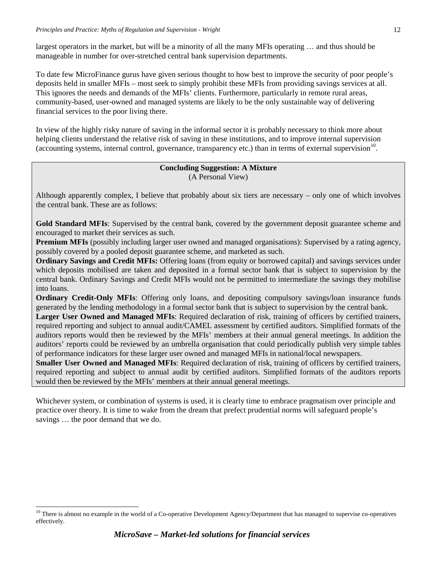largest operators in the market, but will be a minority of all the many MFIs operating … and thus should be manageable in number for over-stretched central bank supervision departments.

To date few MicroFinance gurus have given serious thought to how best to improve the security of poor people's deposits held in smaller MFIs – most seek to simply prohibit these MFIs from providing savings services at all. This ignores the needs and demands of the MFIs' clients. Furthermore, particularly in remote rural areas, community-based, user-owned and managed systems are likely to be the only sustainable way of delivering financial services to the poor living there.

In view of the highly risky nature of saving in the informal sector it is probably necessary to think more about helping clients understand the relative risk of saving in these institutions, and to improve internal supervision (accounting systems, internal control, governance, transparency etc.) than in terms of external supervision $^{10}$  $^{10}$  $^{10}$ .

## **Concluding Suggestion: A Mixture** (A Personal View)

Although apparently complex, I believe that probably about six tiers are necessary – only one of which involves the central bank. These are as follows:

Gold Standard MFIs: Supervised by the central bank, covered by the government deposit guarantee scheme and encouraged to market their services as such.

**Premium MFIs** (possibly including larger user owned and managed organisations): Supervised by a rating agency, possibly covered by a pooled deposit guarantee scheme, and marketed as such.

**Ordinary Savings and Credit MFIs:** Offering loans (from equity or borrowed capital) and savings services under which deposits mobilised are taken and deposited in a formal sector bank that is subject to supervision by the central bank. Ordinary Savings and Credit MFIs would not be permitted to intermediate the savings they mobilise into loans.

**Ordinary Credit-Only MFIs**: Offering only loans, and depositing compulsory savings/loan insurance funds generated by the lending methodology in a formal sector bank that is subject to supervision by the central bank.

**Larger User Owned and Managed MFIs**: Required declaration of risk, training of officers by certified trainers, required reporting and subject to annual audit/CAMEL assessment by certified auditors. Simplified formats of the auditors reports would then be reviewed by the MFIs' members at their annual general meetings. In addition the auditors' reports could be reviewed by an umbrella organisation that could periodically publish very simple tables of performance indicators for these larger user owned and managed MFIs in national/local newspapers.

**Smaller User Owned and Managed MFIs:** Required declaration of risk, training of officers by certified trainers, required reporting and subject to annual audit by certified auditors. Simplified formats of the auditors reports would then be reviewed by the MFIs' members at their annual general meetings.

Whichever system, or combination of systems is used, it is clearly time to embrace pragmatism over principle and practice over theory. It is time to wake from the dream that prefect prudential norms will safeguard people's savings … the poor demand that we do.

<span id="page-12-0"></span> $10$  There is almost no example in the world of a Co-operative Development Agency/Department that has managed to supervise co-operatives effectively.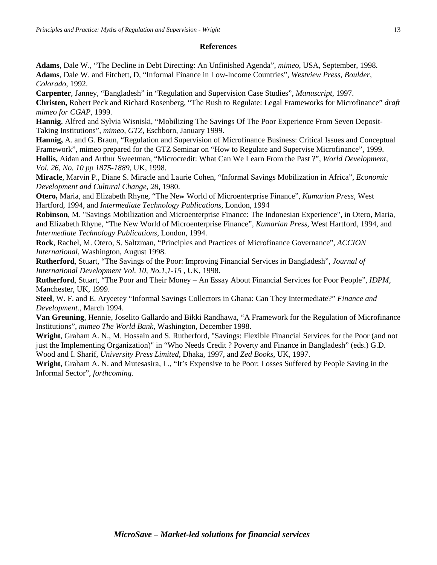#### **References**

**Adams**, Dale W., "The Decline in Debt Directing: An Unfinished Agenda", *mimeo*, USA, September, 1998. **Adams**, Dale W. and Fitchett, D, "Informal Finance in Low-Income Countries", *Westview Press, Boulder, Colorado*, 1992.

**Carpenter**, Janney, "Bangladesh" in "Regulation and Supervision Case Studies", *Manuscript*, 1997. **Christen,** Robert Peck and Richard Rosenberg, "The Rush to Regulate: Legal Frameworks for Microfinance" *draft mimeo for CGAP,* 1999.

**Hannig**, Alfred and Sylvia Wisniski, "Mobilizing The Savings Of The Poor Experience From Seven Deposit-Taking Institutions", *mimeo, GTZ,* Eschborn, January 1999.

**Hannig,** A. and G. Braun, "Regulation and Supervision of Microfinance Business: Critical Issues and Conceptual Framework", mimeo prepared for the GTZ Seminar on "How to Regulate and Supervise Microfinance", 1999. **Hollis,** Aidan and Arthur Sweetman, "Microcredit: What Can We Learn From the Past ?", *World Development, Vol. 26, No. 10 pp 1875-1889,* UK, 1998.

**Miracle**, Marvin P., Diane S. Miracle and Laurie Cohen, "Informal Savings Mobilization in Africa", *Economic Development and Cultural Change, 28*, 1980.

**Otero,** Maria, and Elizabeth Rhyne, "The New World of Microenterprise Finance"*, Kumarian Press*, West Hartford, 1994, and *Intermediate Technology Publications*, London, 1994

**Robinson**, M. "Savings Mobilization and Microenterprise Finance: The Indonesian Experience", in Otero, Maria, and Elizabeth Rhyne, "The New World of Microenterprise Finance"*, Kumarian Press*, West Hartford, 1994, and *Intermediate Technology Publications*, London, 1994.

**Rock**, Rachel, M. Otero, S. Saltzman, "Principles and Practices of Microfinance Governance", *ACCION International,* Washington, August 1998.

**Rutherford**, Stuart, "The Savings of the Poor: Improving Financial Services in Bangladesh", *Journal of International Development Vol. 10, No.1,1-15* , UK, 1998.

**Rutherford**, Stuart, "The Poor and Their Money – An Essay About Financial Services for Poor People", *IDPM*, Manchester, UK, 1999.

**Steel**, W. F. and E. Aryeetey "Informal Savings Collectors in Ghana: Can They Intermediate?" *Finance and Development.,* March 1994.

**Van Greuning**, Hennie, Joselito Gallardo and Bikki Randhawa, "A Framework for the Regulation of Microfinance Institutions", *mimeo The World Bank,* Washington, December 1998.

**Wright**, Graham A. N., M. Hossain and S. Rutherford, "Savings: Flexible Financial Services for the Poor (and not just the Implementing Organization)" in "Who Needs Credit ? Poverty and Finance in Bangladesh" (eds.) G.D. Wood and I. Sharif, *University Press Limited*, Dhaka, 1997, and *Zed Books*, UK, 1997.

**Wright**, Graham A. N. and Mutesasira, L., "It's Expensive to be Poor: Losses Suffered by People Saving in the Informal Sector", *forthcoming*.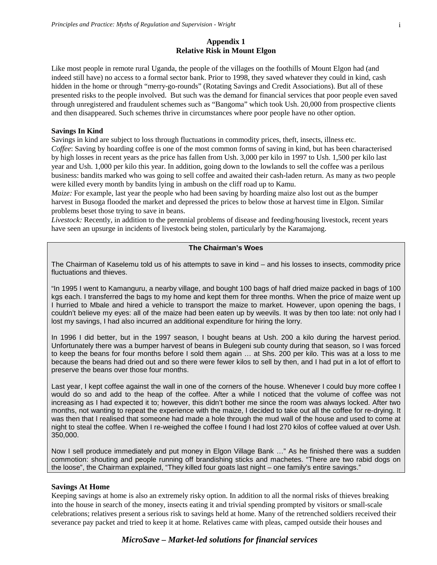## **Appendix 1 Relative Risk in Mount Elgon**

Like most people in remote rural Uganda, the people of the villages on the foothills of Mount Elgon had (and indeed still have) no access to a formal sector bank. Prior to 1998, they saved whatever they could in kind, cash hidden in the home or through "merry-go-rounds" (Rotating Savings and Credit Associations). But all of these presented risks to the people involved. But such was the demand for financial services that poor people even saved through unregistered and fraudulent schemes such as "Bangoma" which took Ush. 20,000 from prospective clients and then disappeared. Such schemes thrive in circumstances where poor people have no other option.

#### **Savings In Kind**

Savings in kind are subject to loss through fluctuations in commodity prices, theft, insects, illness etc. *Coffee*: Saving by hoarding coffee is one of the most common forms of saving in kind, but has been characterised by high losses in recent years as the price has fallen from Ush. 3,000 per kilo in 1997 to Ush. 1,500 per kilo last year and Ush. 1,000 per kilo this year. In addition, going down to the lowlands to sell the coffee was a perilous business: bandits marked who was going to sell coffee and awaited their cash-laden return. As many as two people were killed every month by bandits lying in ambush on the cliff road up to Kamu.

*Maize:* For example, last year the people who had been saving by hoarding maize also lost out as the bumper harvest in Busoga flooded the market and depressed the prices to below those at harvest time in Elgon. Similar problems beset those trying to save in beans.

*Livestock:* Recently, in addition to the perennial problems of disease and feeding/housing livestock, recent years have seen an upsurge in incidents of livestock being stolen, particularly by the Karamajong.

## **The Chairman's Woes**

The Chairman of Kaselemu told us of his attempts to save in kind – and his losses to insects, commodity price fluctuations and thieves.

"In 1995 I went to Kamanguru, a nearby village, and bought 100 bags of half dried maize packed in bags of 100 kgs each. I transferred the bags to my home and kept them for three months. When the price of maize went up I hurried to Mbale and hired a vehicle to transport the maize to market. However, upon opening the bags, I couldn't believe my eyes: all of the maize had been eaten up by weevils. It was by then too late: not only had I lost my savings, I had also incurred an additional expenditure for hiring the lorry.

In 1996 I did better, but in the 1997 season, I bought beans at Ush. 200 a kilo during the harvest period. Unfortunately there was a bumper harvest of beans in Bulegeni sub county during that season, so I was forced to keep the beans for four months before I sold them again … at Shs. 200 per kilo. This was at a loss to me because the beans had dried out and so there were fewer kilos to sell by then, and I had put in a lot of effort to preserve the beans over those four months.

Last year, I kept coffee against the wall in one of the corners of the house. Whenever I could buy more coffee I would do so and add to the heap of the coffee. After a while I noticed that the volume of coffee was not increasing as I had expected it to; however, this didn't bother me since the room was always locked. After two months, not wanting to repeat the experience with the maize, I decided to take out all the coffee for re-drying. It was then that I realised that someone had made a hole through the mud wall of the house and used to come at night to steal the coffee. When I re-weighed the coffee I found I had lost 270 kilos of coffee valued at over Ush. 350,000.

Now I sell produce immediately and put money in Elgon Village Bank …" As he finished there was a sudden commotion: shouting and people running off brandishing sticks and machetes. "There are two rabid dogs on the loose", the Chairman explained, "They killed four goats last night – one family's entire savings."

#### **Savings At Home**

Keeping savings at home is also an extremely risky option. In addition to all the normal risks of thieves breaking into the house in search of the money, insects eating it and trivial spending prompted by visitors or small-scale celebrations; relatives present a serious risk to savings held at home. Many of the retrenched soldiers received their severance pay packet and tried to keep it at home. Relatives came with pleas, camped outside their houses and